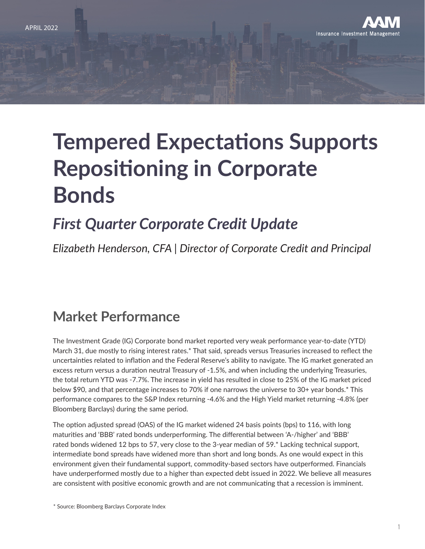

# **Tempered Expectations Supports Repositioning in Corporate Bonds**

## *First Quarter Corporate Credit Update*

*Elizabeth Henderson, CFA | Director of Corporate Credit and Principal*

#### **Market Performance**

The Investment Grade (IG) Corporate bond market reported very weak performance year-to-date (YTD) March 31, due mostly to rising interest rates.\* That said, spreads versus Treasuries increased to reflect the uncertainties related to inflation and the Federal Reserve's ability to navigate. The IG market generated an excess return versus a duration neutral Treasury of -1.5%, and when including the underlying Treasuries, the total return YTD was -7.7%. The increase in yield has resulted in close to 25% of the IG market priced below \$90, and that percentage increases to 70% if one narrows the universe to 30+ year bonds.\* This performance compares to the S&P Index returning -4.6% and the High Yield market returning -4.8% (per Bloomberg Barclays) during the same period.

The option adjusted spread (OAS) of the IG market widened 24 basis points (bps) to 116, with long maturities and 'BBB' rated bonds underperforming. The differential between 'A-/higher' and 'BBB' rated bonds widened 12 bps to 57, very close to the 3-year median of 59.\* Lacking technical support, intermediate bond spreads have widened more than short and long bonds. As one would expect in this environment given their fundamental support, commodity-based sectors have outperformed. Financials have underperformed mostly due to a higher than expected debt issued in 2022. We believe all measures are consistent with positive economic growth and are not communicating that a recession is imminent.

\* Source: Bloomberg Barclays Corporate Index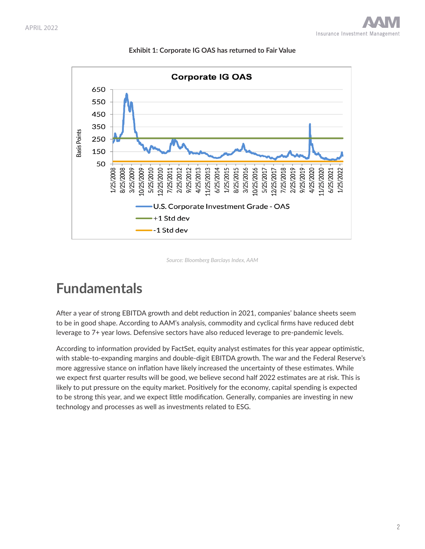

**Exhibit 1: Corporate IG OAS has returned to Fair Value**

*Source: Bloomberg Barclays Index, AAM* 

#### **Fundamentals**

After a year of strong EBITDA growth and debt reduction in 2021, companies' balance sheets seem to be in good shape. According to AAM's analysis, commodity and cyclical firms have reduced debt leverage to 7+ year lows. Defensive sectors have also reduced leverage to pre-pandemic levels.

According to information provided by FactSet, equity analyst estimates for this year appear optimistic, with stable-to-expanding margins and double-digit EBITDA growth. The war and the Federal Reserve's more aggressive stance on inflation have likely increased the uncertainty of these estimates. While we expect first quarter results will be good, we believe second half 2022 estimates are at risk. This is likely to put pressure on the equity market. Positively for the economy, capital spending is expected to be strong this year, and we expect little modification. Generally, companies are investing in new technology and processes as well as investments related to ESG.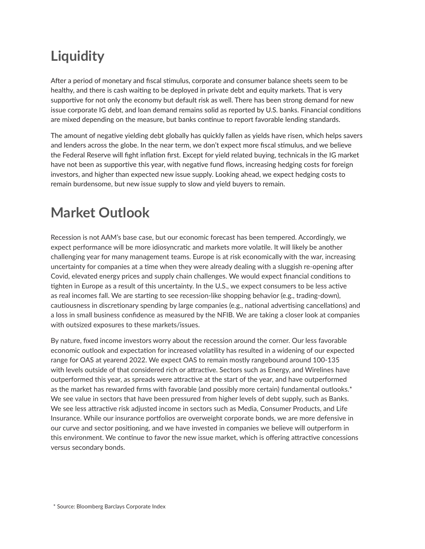### **Liquidity**

After a period of monetary and fiscal stimulus, corporate and consumer balance sheets seem to be healthy, and there is cash waiting to be deployed in private debt and equity markets. That is very supportive for not only the economy but default risk as well. There has been strong demand for new issue corporate IG debt, and loan demand remains solid as reported by U.S. banks. Financial conditions are mixed depending on the measure, but banks continue to report favorable lending standards.

The amount of negative yielding debt globally has quickly fallen as yields have risen, which helps savers and lenders across the globe. In the near term, we don't expect more fiscal stimulus, and we believe the Federal Reserve will fight inflation first. Except for yield related buying, technicals in the IG market have not been as supportive this year, with negative fund flows, increasing hedging costs for foreign investors, and higher than expected new issue supply. Looking ahead, we expect hedging costs to remain burdensome, but new issue supply to slow and yield buyers to remain.

#### **Market Outlook**

Recession is not AAM's base case, but our economic forecast has been tempered. Accordingly, we expect performance will be more idiosyncratic and markets more volatile. It will likely be another challenging year for many management teams. Europe is at risk economically with the war, increasing uncertainty for companies at a time when they were already dealing with a sluggish re-opening after Covid, elevated energy prices and supply chain challenges. We would expect financial conditions to tighten in Europe as a result of this uncertainty. In the U.S., we expect consumers to be less active as real incomes fall. We are starting to see recession-like shopping behavior (e.g., trading-down), cautiousness in discretionary spending by large companies (e.g., national advertising cancellations) and a loss in small business confidence as measured by the NFIB. We are taking a closer look at companies with outsized exposures to these markets/issues.

By nature, fixed income investors worry about the recession around the corner. Our less favorable economic outlook and expectation for increased volatility has resulted in a widening of our expected range for OAS at yearend 2022. We expect OAS to remain mostly rangebound around 100-135 with levels outside of that considered rich or attractive. Sectors such as Energy, and Wirelines have outperformed this year, as spreads were attractive at the start of the year, and have outperformed as the market has rewarded firms with favorable (and possibly more certain) fundamental outlooks.\* We see value in sectors that have been pressured from higher levels of debt supply, such as Banks. We see less attractive risk adjusted income in sectors such as Media, Consumer Products, and Life Insurance. While our insurance portfolios are overweight corporate bonds, we are more defensive in our curve and sector positioning, and we have invested in companies we believe will outperform in this environment. We continue to favor the new issue market, which is offering attractive concessions versus secondary bonds.